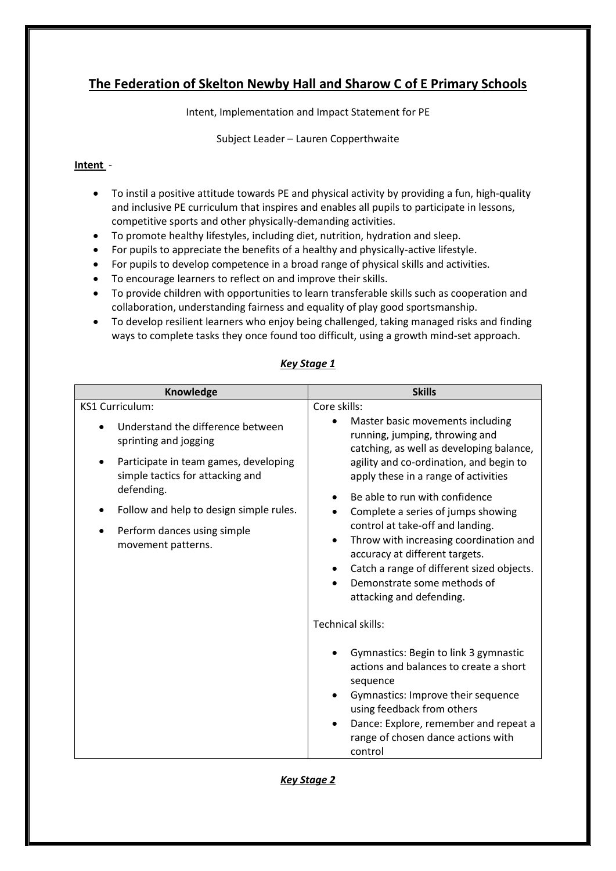# **The Federation of Skelton Newby Hall and Sharow C of E Primary Schools**

Intent, Implementation and Impact Statement for PE

Subject Leader – Lauren Copperthwaite

## **Intent** -

- To instil a positive attitude towards PE and physical activity by providing a fun, high-quality and inclusive PE curriculum that inspires and enables all pupils to participate in lessons, competitive sports and other physically-demanding activities.
- To promote healthy lifestyles, including diet, nutrition, hydration and sleep.
- For pupils to appreciate the benefits of a healthy and physically-active lifestyle.
- For pupils to develop competence in a broad range of physical skills and activities.
- To encourage learners to reflect on and improve their skills.
- To provide children with opportunities to learn transferable skills such as cooperation and collaboration, understanding fairness and equality of play good sportsmanship.
- To develop resilient learners who enjoy being challenged, taking managed risks and finding ways to complete tasks they once found too difficult, using a growth mind-set approach.

# *Key Stage 1*

| Knowledge                                                                                                                                                                                                                                                 | <b>Skills</b>                                                                                                                                                                                                                                                                                                                                                                                                                                                                                                                          |
|-----------------------------------------------------------------------------------------------------------------------------------------------------------------------------------------------------------------------------------------------------------|----------------------------------------------------------------------------------------------------------------------------------------------------------------------------------------------------------------------------------------------------------------------------------------------------------------------------------------------------------------------------------------------------------------------------------------------------------------------------------------------------------------------------------------|
| <b>KS1 Curriculum:</b><br>Understand the difference between<br>sprinting and jogging<br>Participate in team games, developing<br>simple tactics for attacking and<br>defending.<br>Follow and help to design simple rules.<br>Perform dances using simple | Core skills:<br>Master basic movements including<br>running, jumping, throwing and<br>catching, as well as developing balance,<br>agility and co-ordination, and begin to<br>apply these in a range of activities<br>Be able to run with confidence<br>Complete a series of jumps showing<br>control at take-off and landing.<br>Throw with increasing coordination and<br>accuracy at different targets.<br>Catch a range of different sized objects.<br>Demonstrate some methods of<br>attacking and defending.<br>Technical skills: |
| movement patterns.                                                                                                                                                                                                                                        |                                                                                                                                                                                                                                                                                                                                                                                                                                                                                                                                        |
|                                                                                                                                                                                                                                                           | Gymnastics: Begin to link 3 gymnastic<br>actions and balances to create a short<br>sequence<br>Gymnastics: Improve their sequence<br>using feedback from others<br>Dance: Explore, remember and repeat a<br>range of chosen dance actions with<br>control                                                                                                                                                                                                                                                                              |

### *Key Stage 2*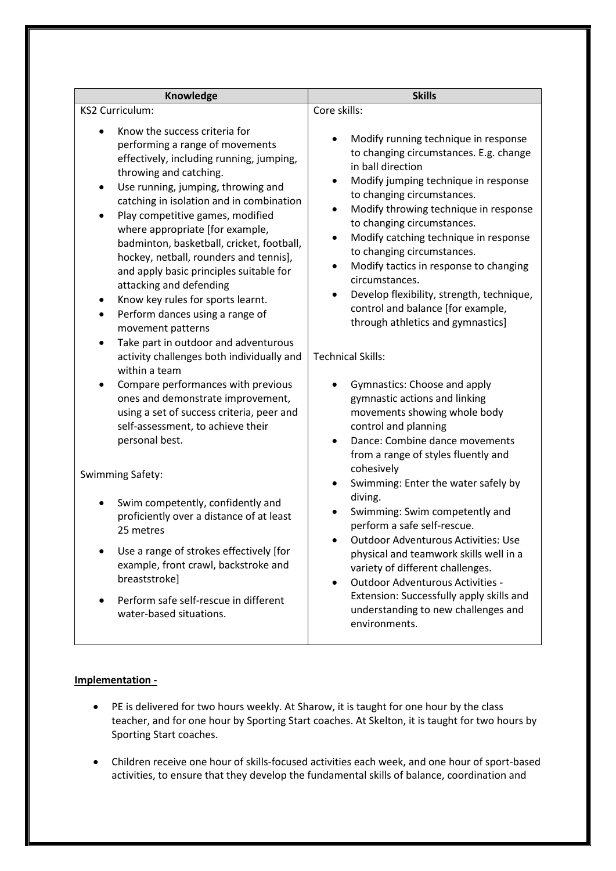| Knowledge<br><b>KS2 Curriculum:</b>                                        |                                                                                                                                                                                                                                                                                                                                                                                                                                                                                                                                                                                                                                                                                                                                                                                                                                                | <b>Skills</b>                                                                                                                                                                                                                                                                                                                                                                                                                                                                                                                                                                                                                                                                                                                                                                    |  |
|----------------------------------------------------------------------------|------------------------------------------------------------------------------------------------------------------------------------------------------------------------------------------------------------------------------------------------------------------------------------------------------------------------------------------------------------------------------------------------------------------------------------------------------------------------------------------------------------------------------------------------------------------------------------------------------------------------------------------------------------------------------------------------------------------------------------------------------------------------------------------------------------------------------------------------|----------------------------------------------------------------------------------------------------------------------------------------------------------------------------------------------------------------------------------------------------------------------------------------------------------------------------------------------------------------------------------------------------------------------------------------------------------------------------------------------------------------------------------------------------------------------------------------------------------------------------------------------------------------------------------------------------------------------------------------------------------------------------------|--|
|                                                                            |                                                                                                                                                                                                                                                                                                                                                                                                                                                                                                                                                                                                                                                                                                                                                                                                                                                | Core skills:                                                                                                                                                                                                                                                                                                                                                                                                                                                                                                                                                                                                                                                                                                                                                                     |  |
| $\bullet$<br>$\bullet$<br>$\bullet$<br>$\bullet$<br>$\bullet$<br>$\bullet$ | Know the success criteria for<br>performing a range of movements<br>effectively, including running, jumping,<br>throwing and catching.<br>Use running, jumping, throwing and<br>catching in isolation and in combination<br>Play competitive games, modified<br>where appropriate [for example,<br>badminton, basketball, cricket, football,<br>hockey, netball, rounders and tennis],<br>and apply basic principles suitable for<br>attacking and defending<br>Know key rules for sports learnt.<br>Perform dances using a range of<br>movement patterns<br>Take part in outdoor and adventurous<br>activity challenges both individually and<br>within a team<br>Compare performances with previous<br>ones and demonstrate improvement,<br>using a set of success criteria, peer and<br>self-assessment, to achieve their<br>personal best. | Modify running technique in response<br>to changing circumstances. E.g. change<br>in ball direction<br>Modify jumping technique in response<br>to changing circumstances.<br>Modify throwing technique in response<br>to changing circumstances.<br>Modify catching technique in response<br>$\bullet$<br>to changing circumstances.<br>Modify tactics in response to changing<br>circumstances.<br>Develop flexibility, strength, technique,<br>$\bullet$<br>control and balance [for example,<br>through athletics and gymnastics]<br><b>Technical Skills:</b><br>Gymnastics: Choose and apply<br>gymnastic actions and linking<br>movements showing whole body<br>control and planning<br>Dance: Combine dance movements<br>from a range of styles fluently and<br>cohesively |  |
| <b>Swimming Safety:</b>                                                    |                                                                                                                                                                                                                                                                                                                                                                                                                                                                                                                                                                                                                                                                                                                                                                                                                                                | Swimming: Enter the water safely by                                                                                                                                                                                                                                                                                                                                                                                                                                                                                                                                                                                                                                                                                                                                              |  |
|                                                                            | Swim competently, confidently and<br>proficiently over a distance of at least<br>25 metres                                                                                                                                                                                                                                                                                                                                                                                                                                                                                                                                                                                                                                                                                                                                                     | diving.<br>Swimming: Swim competently and<br>perform a safe self-rescue.<br><b>Outdoor Adventurous Activities: Use</b><br>physical and teamwork skills well in a<br>variety of different challenges.<br><b>Outdoor Adventurous Activities -</b><br>Extension: Successfully apply skills and<br>understanding to new challenges and<br>environments.                                                                                                                                                                                                                                                                                                                                                                                                                              |  |
| $\bullet$                                                                  | Use a range of strokes effectively [for<br>example, front crawl, backstroke and<br>breaststroke]                                                                                                                                                                                                                                                                                                                                                                                                                                                                                                                                                                                                                                                                                                                                               |                                                                                                                                                                                                                                                                                                                                                                                                                                                                                                                                                                                                                                                                                                                                                                                  |  |
| $\bullet$                                                                  | Perform safe self-rescue in different<br>water-based situations.                                                                                                                                                                                                                                                                                                                                                                                                                                                                                                                                                                                                                                                                                                                                                                               |                                                                                                                                                                                                                                                                                                                                                                                                                                                                                                                                                                                                                                                                                                                                                                                  |  |

### **Implementation -**

- PE is delivered for two hours weekly. At Sharow, it is taught for one hour by the class teacher, and for one hour by Sporting Start coaches. At Skelton, it is taught for two hours by Sporting Start coaches.
- Children receive one hour of skills-focused activities each week, and one hour of sport-based activities, to ensure that they develop the fundamental skills of balance, coordination and